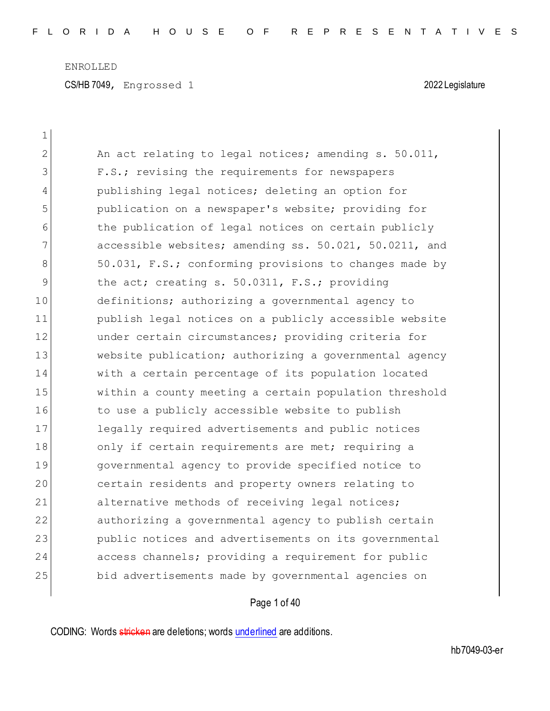| $\mathbf 1$    |                                                        |
|----------------|--------------------------------------------------------|
| $\overline{2}$ | An act relating to legal notices; amending s. 50.011,  |
| 3              | F.S.; revising the requirements for newspapers         |
| 4              | publishing legal notices; deleting an option for       |
| 5              | publication on a newspaper's website; providing for    |
| 6              | the publication of legal notices on certain publicly   |
| 7              | accessible websites; amending ss. 50.021, 50.0211, and |
| 8              | 50.031, F.S.; conforming provisions to changes made by |
| 9              | the act; creating s. 50.0311, F.S.; providing          |
| 10             | definitions; authorizing a governmental agency to      |
| 11             | publish legal notices on a publicly accessible website |
| 12             | under certain circumstances; providing criteria for    |
| 13             | website publication; authorizing a governmental agency |
| 14             | with a certain percentage of its population located    |
| 15             | within a county meeting a certain population threshold |
| 16             | to use a publicly accessible website to publish        |
| 17             | legally required advertisements and public notices     |
| 18             | only if certain requirements are met; requiring a      |
| 19             | governmental agency to provide specified notice to     |
| 20             | certain residents and property owners relating to      |
| 21             | alternative methods of receiving legal notices;        |
| 22             | authorizing a governmental agency to publish certain   |
| 23             | public notices and advertisements on its governmental  |
| 24             | access channels; providing a requirement for public    |
| 25             | bid advertisements made by governmental agencies on    |
|                |                                                        |

Page 1 of 40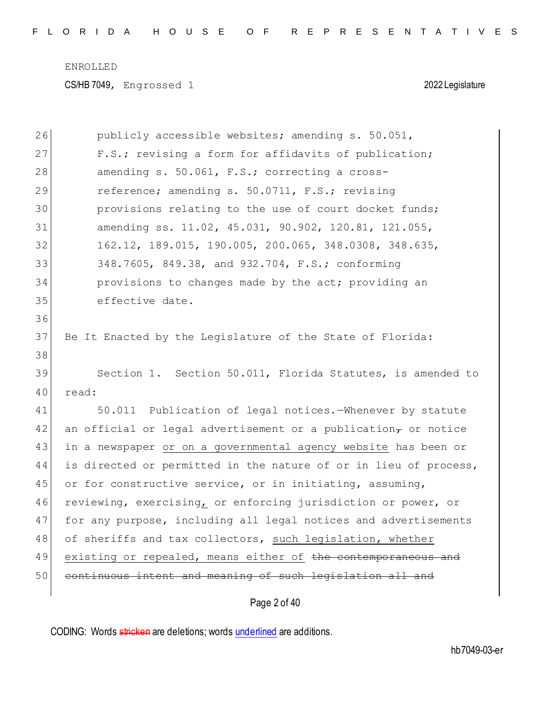CS/HB 7049, Engrossed 1 2022 Legislature

| 26 | publicly accessible websites; amending s. 50.051,                       |
|----|-------------------------------------------------------------------------|
| 27 | F.S.; revising a form for affidavits of publication;                    |
| 28 | amending s. 50.061, F.S.; correcting a cross-                           |
| 29 | reference; amending s. 50.0711, F.S.; revising                          |
| 30 | provisions relating to the use of court docket funds;                   |
| 31 | amending ss. 11.02, 45.031, 90.902, 120.81, 121.055,                    |
| 32 | 162.12, 189.015, 190.005, 200.065, 348.0308, 348.635,                   |
| 33 | 348.7605, 849.38, and 932.704, F.S.; conforming                         |
| 34 | provisions to changes made by the act; providing an                     |
| 35 | effective date.                                                         |
| 36 |                                                                         |
| 37 | Be It Enacted by the Legislature of the State of Florida:               |
| 38 |                                                                         |
| 39 | Section 1. Section 50.011, Florida Statutes, is amended to              |
| 40 | read:                                                                   |
| 41 | 50.011 Publication of legal notices.-Whenever by statute                |
| 42 | an official or legal advertisement or a publication $_{\tau}$ or notice |
| 43 | in a newspaper or on a governmental agency website has been or          |
| 44 | is directed or permitted in the nature of or in lieu of process,        |
| 45 | or for constructive service, or in initiating, assuming,                |
| 46 | reviewing, exercising, or enforcing jurisdiction or power, or           |
| 47 | for any purpose, including all legal notices and advertisements         |
| 48 | of sheriffs and tax collectors, such legislation, whether               |
| 49 | existing or repealed, means either of the contemporaneous and           |
| 50 | continuous intent and meaning of such legislation all and               |
|    | Page 2 of 40                                                            |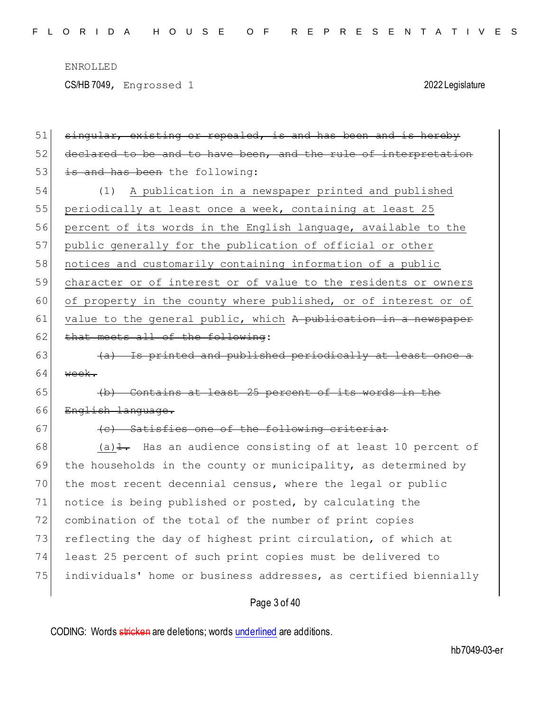CS/HB 7049, Engrossed 1 2022 Legislature

Page 3 of 40 51 singular, existing or repealed, is and has been and is hereby 52 declared to be and to have been, and the rule of interpretation  $53$  is and has been the following: 54 (1) A publication in a newspaper printed and published 55 periodically at least once a week, containing at least 25 56 percent of its words in the English language, available to the 57 public generally for the publication of official or other 58 notices and customarily containing information of a public 59 character or of interest or of value to the residents or owners 60 of property in the county where published, or of interest or of 61 value to the general public, which A publication in a newspaper  $62$  that meets all of the following:  $63$  (a) Is printed and published periodically at least once a 64  $wee$  $65$  (b) Contains at least 25 percent of its words in the 66 English language.  $67$  (c) Satisfies one of the following criteria: 68 (a) $\text{\textsterling}}$ . Has an audience consisting of at least 10 percent of 69 the households in the county or municipality, as determined by 70 the most recent decennial census, where the legal or public 71 notice is being published or posted, by calculating the 72 combination of the total of the number of print copies 73 reflecting the day of highest print circulation, of which at 74 least 25 percent of such print copies must be delivered to 75 individuals' home or business addresses, as certified biennially

CODING: Words stricken are deletions; words underlined are additions.

hb7049-03-er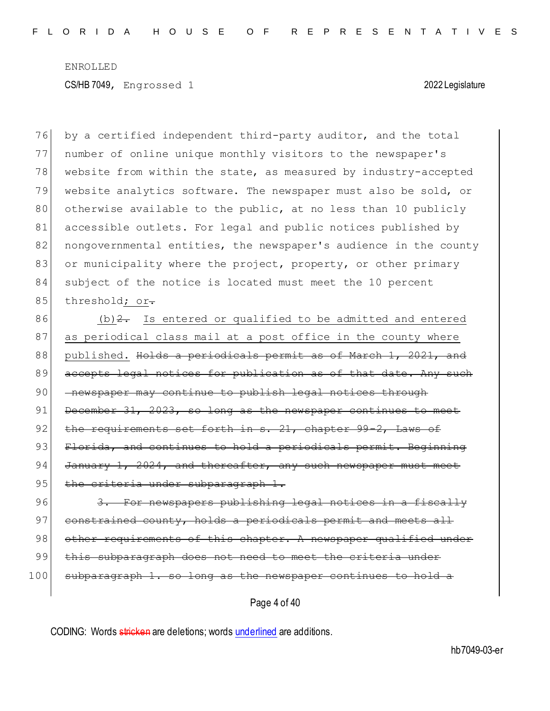76 by a certified independent third-party auditor, and the total 77 number of online unique monthly visitors to the newspaper's 78 website from within the state, as measured by industry-accepted 79 website analytics software. The newspaper must also be sold, or 80 otherwise available to the public, at no less than 10 publicly 81 accessible outlets. For legal and public notices published by 82 nongovernmental entities, the newspaper's audience in the county 83 or municipality where the project, property, or other primary 84 subject of the notice is located must meet the 10 percent 85 threshold; or.

 $86$  (b)  $2$ . Is entered or qualified to be admitted and entered 87 as periodical class mail at a post office in the county where 88 published. Holds a periodicals permit as of March 1, 2021, and 89 accepts legal notices for publication as of that date. Any such 90 <del>- newspaper may continue to publish legal notices through</del> 91 December 31, 2023, so long as the newspaper continues to meet 92 the requirements set forth in s. 21, chapter 99-2, Laws of 93 Florida, and continues to hold a periodicals permit. Beginning 94 January 1, 2024, and thereafter, any such newspaper 95 the criteria under subparagraph 1.

96 3. For newspapers publishing legal notices in a fiscally 97 constrained county, holds a periodicals permit and meets all 98 other requirements of this chapter. A newspaper qualified under 99 this subparagraph does not need to meet the criteria under 100 subparagraph 1. so long as the newspaper continues to hold a

Page 4 of 40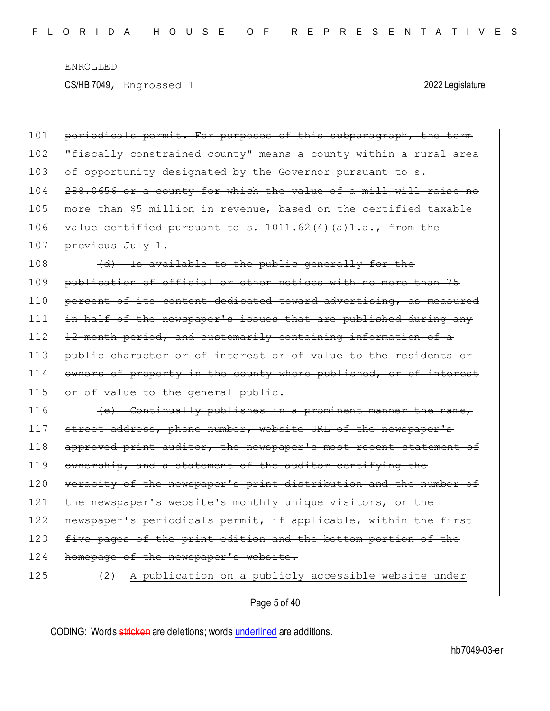| 101 | periodicals permit. For purposes of this subparagraph, the term  |
|-----|------------------------------------------------------------------|
| 102 | "fiscally constrained county" means a county within a rural area |
| 103 | of opportunity designated by the Governor pursuant to s.         |
| 104 | 288.0656 or a county for which the value of a mill will raise no |
| 105 | more than \$5 million in revenue, based on the certified taxable |
| 106 | value certified pursuant to s. $1011.62(4)(a)1.a.,$ from the     |
| 107 | previous July 1.                                                 |
| 108 | (d) Is available to the public generally for the                 |
| 109 | publication of official or other notices with no more than 75    |
| 110 | percent of its content dedicated toward advertising, as measured |
| 111 | in half of the newspaper's issues that are published during any  |
| 112 | 12-month period, and customarily containing information of a     |
| 113 | public character or of interest or of value to the residents or  |
| 114 | owners of property in the county where published, or of interest |
| 115 | or of value to the general public.                               |
| 116 | (e) Continually publishes in a prominent manner the name,        |
| 117 | street address, phone number, website URL of the newspaper's     |
| 118 | approved print auditor, the newspaper's most recent statement of |
| 119 | ownership, and a statement of the auditor certifying the         |
| 120 | veracity of the newspaper's print distribution and the number of |
| 121 | the newspaper's website's monthly unique visitors, or the        |
| 122 | newspaper's periodicals permit, if applicable, within the first  |
| 123 | five pages of the print edition and the bottom portion of the    |
| 124 | homepage of the newspaper's website.                             |
| 125 | A publication on a publicly accessible website under<br>(2)      |
|     |                                                                  |

Page 5 of 40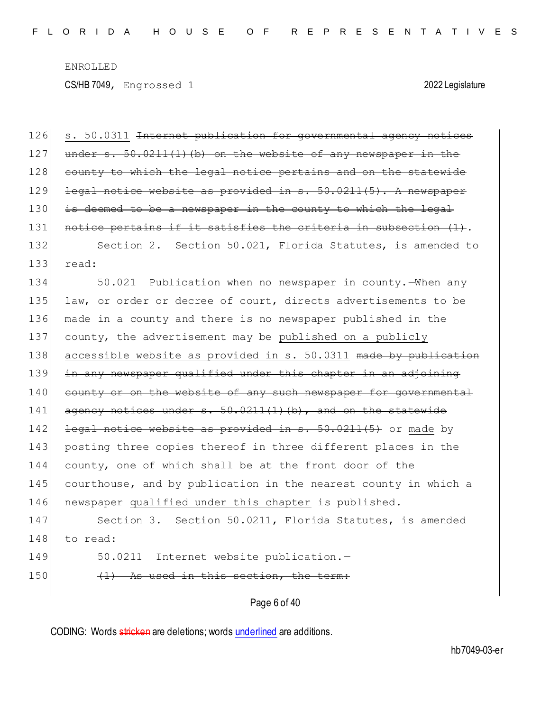CS/HB 7049, Engrossed 1 2022 Legislature

Page 6 of 40 126 s. 50.0311 <del>Internet publication for governmental agency notices</del> 127 under s. 50.0211(1)(b) on the website of any newspaper in the 128 county to which the legal notice pertains and on the statewide 129 legal notice website as provided in s. 50.0211(5). A newspaper 130 is deemed to be a newspaper in the county to which the legal 131 notice pertains if it satisfies the criteria in subsection (1). 132 Section 2. Section 50.021, Florida Statutes, is amended to  $133$  read: 134 50.021 Publication when no newspaper in county.—When any 135 law, or order or decree of court, directs advertisements to be 136 made in a county and there is no newspaper published in the 137 county, the advertisement may be published on a publicly 138 accessible website as provided in s. 50.0311 made by publication 139 in any newspaper qualified under this chapter in an adjoining 140 county or on the website of any such newspaper for governmental 141  $\alpha$  agency notices under s. 50.0211(1)(b), and on the statewide 142 <del>legal notice website as provided in s. 50.0211(5)</del> or made by 143 posting three copies thereof in three different places in the 144 county, one of which shall be at the front door of the 145 courthouse, and by publication in the nearest county in which a 146 newspaper qualified under this chapter is published. 147 Section 3. Section 50.0211, Florida Statutes, is amended 148 to read: 149 50.0211 Internet website publication.- $150$  (1) As used in this section, the term:

CODING: Words stricken are deletions; words underlined are additions.

hb7049-03-er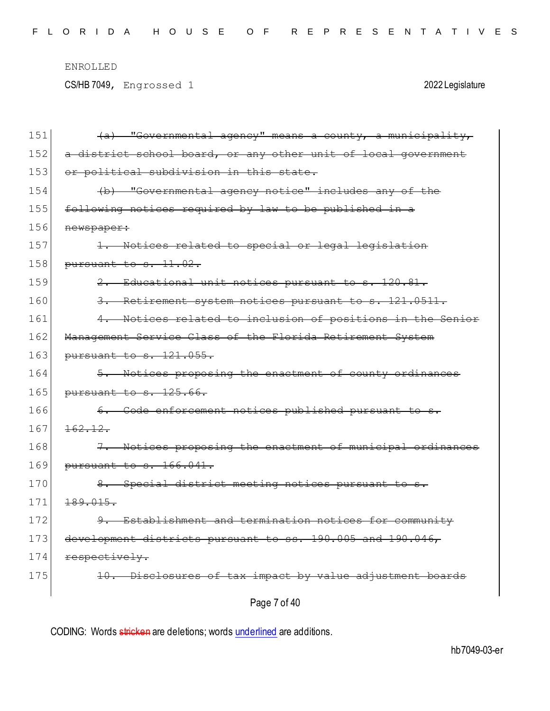CS/HB 7049, Engrossed 1 2022 Legislature

| 151 | (a) "Governmental agency" means a county, a municipality,      |
|-----|----------------------------------------------------------------|
| 152 | a district school board, or any other unit of local government |
| 153 | or political subdivision in this state.                        |
| 154 | (b) "Governmental agency notice" includes any of the           |
| 155 | following notices required by law to be published in a         |
| 156 | newspaper:                                                     |
| 157 | 1. Notices related to special or legal legislation             |
| 158 | pursuant to s. 11.02.                                          |
| 159 | 2. Educational unit notices pursuant to s. 120.81.             |
| 160 | 3. Retirement system notices pursuant to s. 121.0511.          |
| 161 | 4. Notices related to inclusion of positions in the Senior     |
| 162 | Management Service Class of the Florida Retirement System      |
| 163 | pursuant to s. 121.055.                                        |
| 164 | 5. Notices proposing the enactment of county ordinances        |
| 165 | pursuant to s. 125.66.                                         |
| 166 | 6. Code enforcement notices published pursuant to s.           |
| 167 | 162.12.                                                        |
| 168 | 7. Notices proposing the enactment of municipal ordinances     |
| 169 | pursuant to s. 166.041.                                        |
| 170 | 8. Special district meeting notices pursuant to s.             |
| 171 | 189.015.                                                       |
| 172 | 9. Establishment and termination notices for community         |
| 173 | development districts pursuant to ss. 190.005 and 190.046,     |
| 174 | respectively.                                                  |
| 175 | 10. Disclosures of tax impact by value adjustment boards       |
|     | Page 7 of 40                                                   |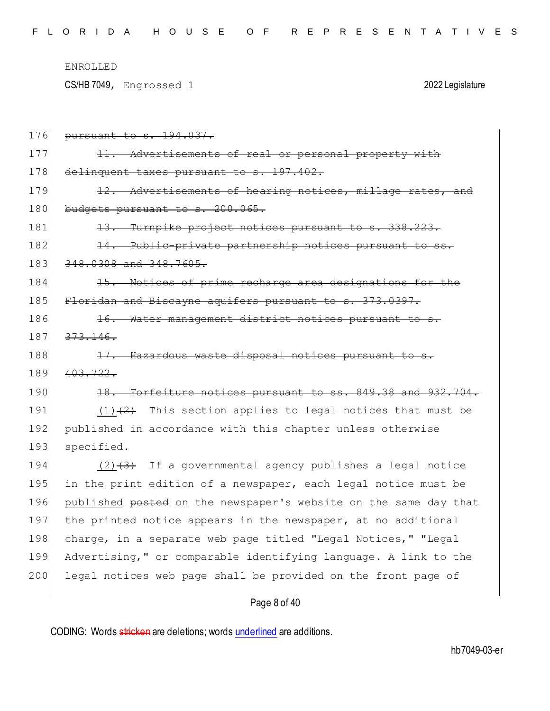CS/HB 7049, Engrossed 1 2022 Legislature

| 176 | pursuant to s. 194.037.                                              |
|-----|----------------------------------------------------------------------|
| 177 | - Advertisements of real or personal property with<br><del>11.</del> |
| 178 | delinquent taxes pursuant to s. 197.402.                             |
| 179 | 12. Advertisements of hearing notices, millage rates, and            |
| 180 | budgets pursuant to s. 200.065.                                      |
| 181 | 13. Turnpike project notices pursuant to s. 338.223.                 |
| 182 | 14. Public-private partnership notices pursuant to ss.               |
| 183 | 348.0308 and 348.7605.                                               |
| 184 | 15. Notices of prime recharge area designations for the              |
| 185 | Floridan and Biscayne aquifers pursuant to s. 373.0397.              |
| 186 | 16. Water management district notices pursuant to s.                 |
| 187 | 373.146.                                                             |
| 188 | 17. Hazardous waste disposal notices pursuant to s.                  |
| 189 | 403.722.                                                             |
| 190 | 18. Forfeiture notices pursuant to ss. 849.38 and 932.704.           |
| 191 | $(1)$ $(2)$ This section applies to legal notices that must be       |
| 192 | published in accordance with this chapter unless otherwise           |
| 193 | specified.                                                           |
| 194 | $(2)$ $(3)$ If a governmental agency publishes a legal notice        |
| 195 | in the print edition of a newspaper, each legal notice must be       |
| 196 | published posted on the newspaper's website on the same day that     |
| 197 | the printed notice appears in the newspaper, at no additional        |
| 198 | charge, in a separate web page titled "Legal Notices," "Legal        |
| 199 | Advertising," or comparable identifying language. A link to the      |
| 200 | legal notices web page shall be provided on the front page of        |
|     |                                                                      |

# Page 8 of 40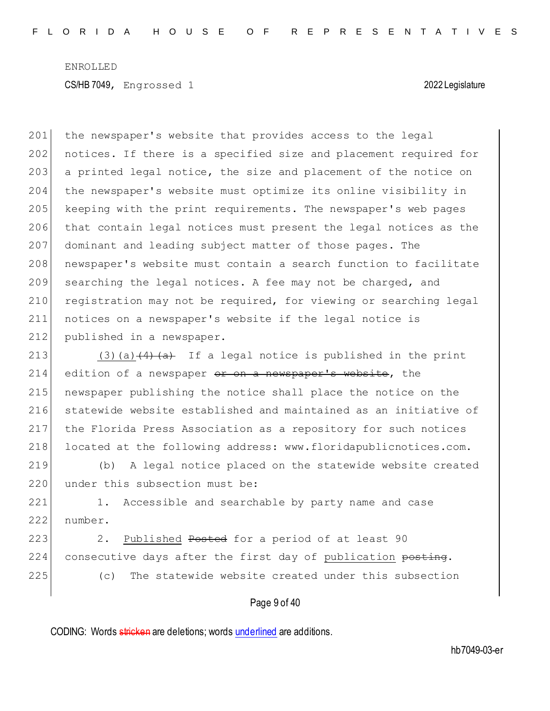201 the newspaper's website that provides access to the legal 202 notices. If there is a specified size and placement required for 203 a printed legal notice, the size and placement of the notice on 204 the newspaper's website must optimize its online visibility in 205 keeping with the print requirements. The newspaper's web pages 206 that contain legal notices must present the legal notices as the 207 dominant and leading subject matter of those pages. The 208 newspaper's website must contain a search function to facilitate 209 searching the legal notices. A fee may not be charged, and 210 registration may not be required, for viewing or searching legal 211 notices on a newspaper's website if the legal notice is 212 published in a newspaper.

213 (3)(a) $(4)$  (a) If a legal notice is published in the print 214 edition of a newspaper or on a newspaper's website, the 215 newspaper publishing the notice shall place the notice on the 216 statewide website established and maintained as an initiative of 217 the Florida Press Association as a repository for such notices 218 located at the following address: www.floridapublicnotices.com.

219 (b) A legal notice placed on the statewide website created 220 under this subsection must be:

221 1. Accessible and searchable by party name and case 222 number.

223 2. Published Posted for a period of at least 90 224 consecutive days after the first day of publication posting. 225 (c) The statewide website created under this subsection

### Page 9 of 40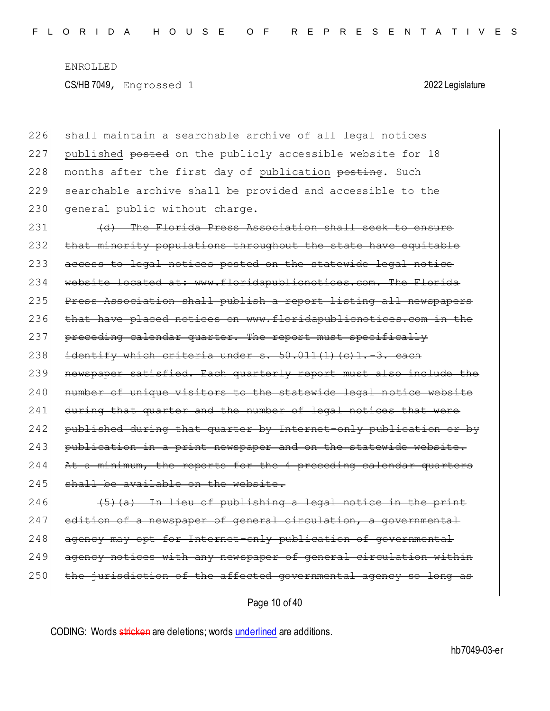226 shall maintain a searchable archive of all legal notices 227 published posted on the publicly accessible website for 18 228 months after the first day of publication posting. Such 229 searchable archive shall be provided and accessible to the 230 general public without charge.

231 (d) The Florida Press Association shall seek to ensure 232 that minority populations throughout the state have equitable 233 access to legal notices posted on the statewide legal notice 234 website located at: www.floridapublicnotices.com. The Florida 235 Press Association shall publish a report listing all newspapers 236 that have placed notices on www.floridapublicnotices.com in the 237 preceding calendar quarter. The report must specifically 238 identify which criteria under  $s. 50.011(1)(c)1.-3.$  each 239 newspaper satisfied. Each quarterly report must also include the 240 number of unique visitors to the statewide legal notice website 241 during that quarter and the number of legal notices that were 242 published during that quarter by Internet-only publication or by 243 publication in a print newspaper and on the statewide website. 244 At a minimum, the reports for the 4 preceding 245 shall be available on the website.

 $246$  (5)(a) In lieu of publishing a legal notice in the print 247 edition of a newspaper of general circulation, a governmental 248 agency may opt for Internet-only publication of governmental 249 agency notices with any newspaper of general circulation within 250 the jurisdiction of the affected governmental agency so long as

Page 10 of 40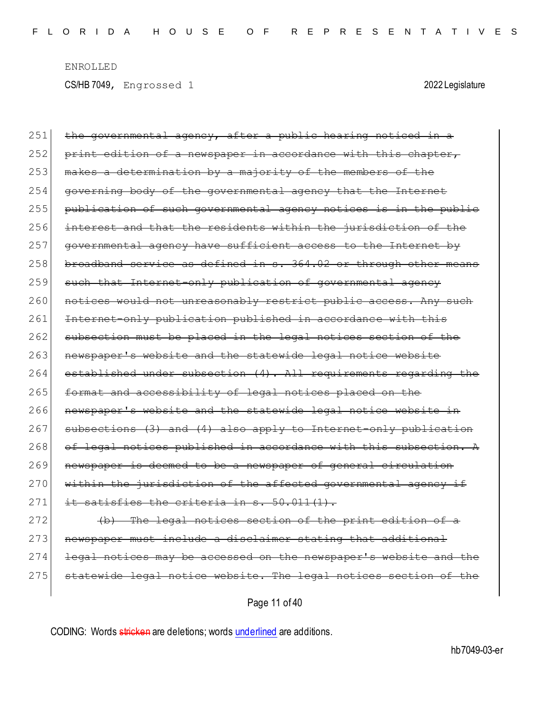| 251 | the governmental agency, after a public hearing noticed in a     |
|-----|------------------------------------------------------------------|
| 252 | print edition of a newspaper in accordance with this chapter,    |
| 253 | makes a determination by a majority of the members of the        |
| 254 | governing body of the governmental agency that the Internet      |
| 255 | publication of such governmental agency notices is in the public |
| 256 | interest and that the residents within the jurisdiction of the   |
| 257 | governmental agency have sufficient access to the Internet by    |
| 258 | broadband service as defined in s. 364.02 or through other means |
| 259 | such that Internet-only publication of governmental agency       |
| 260 | notices would not unreasonably restrict public access. Any such  |
| 261 | Internet-only publication published in accordance with this      |
| 262 | subsection must be placed in the legal notices section of the    |
| 263 | newspaper's website and the statewide legal notice website       |
| 264 | established under subsection (4). All requirements regarding the |
| 265 | format and accessibility of legal notices placed on the          |
| 266 | newspaper's website and the statewide legal notice website in    |
| 267 | subsections (3) and (4) also apply to Internet-only publication  |
| 268 | of legal notices published in accordance with this subsection. A |
| 269 | newspaper is deemed to be a newspaper of general circulation     |
| 270 | within the jurisdiction of the affected governmental agency if   |
| 271 | it satisfies the criteria in s. 50.011(1).                       |
| 272 | (b) The legal notices section of the print edition of a          |
| 273 | newspaper must include a disclaimer stating that additional      |
| 274 | legal notices may be accessed on the newspaper's website and the |

275 statewide legal notice website. The legal notices section of the

Page 11 of 40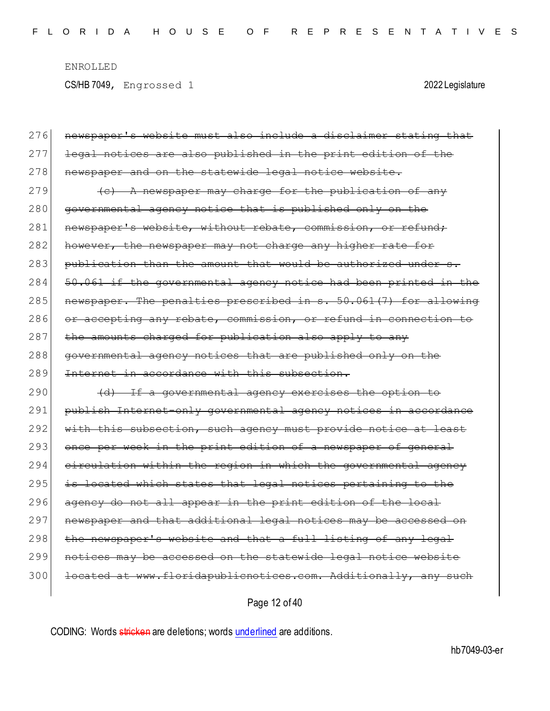| 276 | newspaper's website must also include a disclaimer stating that  |
|-----|------------------------------------------------------------------|
| 277 | legal notices are also published in the print edition of the     |
| 278 | newspaper and on the statewide legal notice website.             |
| 279 | (c) A newspaper may charge for the publication of any            |
| 280 | governmental agency notice that is published only on the         |
| 281 | newspaper's website, without rebate, commission, or refund;      |
| 282 | however, the newspaper may not charge any higher rate for        |
| 283 | publication than the amount that would be authorized under s.    |
| 284 | 50.061 if the governmental agency notice had been printed in the |
| 285 | newspaper. The penalties prescribed in s. 50.061(7) for allowing |
| 286 | or accepting any rebate, commission, or refund in connection to  |
| 287 | the amounts charged for publication also apply to any            |
| 288 | governmental agency notices that are published only on the       |
|     |                                                                  |
| 289 | Internet in accordance with this subsection.                     |
| 290 | (d) If a governmental agency exercises the option to             |
| 291 | publish Internet-only governmental agency notices in accordance  |
| 292 | with this subsection, such agency must provide notice at least   |
| 293 | once per week in the print edition of a newspaper of general     |
| 294 | circulation within the region in which the governmental agency   |
| 295 | is located which states that legal notices pertaining to the     |
| 296 | agency do not all appear in the print edition of the local       |
| 297 | newspaper and that additional legal notices may be accessed on   |
| 298 | the newspaper's website and that a full listing of any legal     |
| 299 | notices may be accessed on the statewide legal notice website    |
| 300 | located at www.floridapublicnotices.com. Additionally, any such  |

Page 12 of 40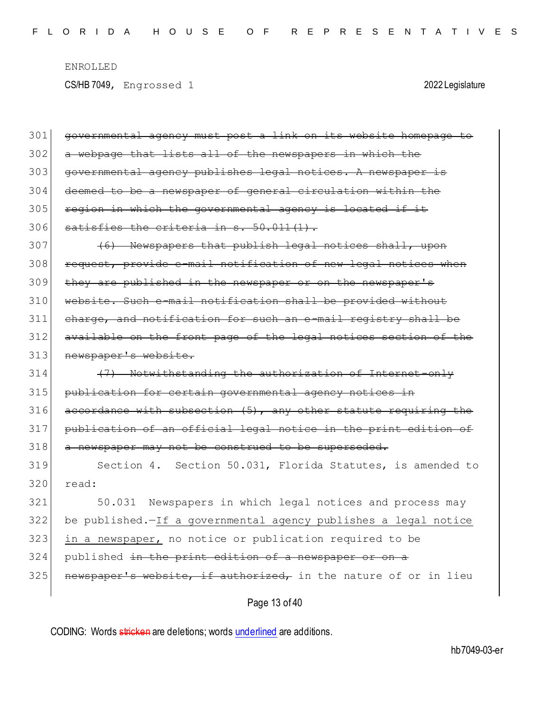CS/HB 7049, Engrossed 1 2022 Legislature

| 301 | governmental agency must post a link on its website homepage to |
|-----|-----------------------------------------------------------------|
| 302 | a webpage that lists all of the newspapers in which the         |
| 303 | governmental agency publishes legal notices. A newspaper is     |
| 304 | deemed to be a newspaper of general circulation within the      |
| 305 | region in which the governmental agency is located if it        |
| 306 | satisfies the criteria in s. 50.011(1).                         |
| 307 | (6) Newspapers that publish legal notices shall, upon           |
| 308 | request, provide e-mail notification of new legal notices when  |
| 309 | they are published in the newspaper or on the newspaper's       |
| 310 | website. Such e-mail notification shall be provided without     |
| 311 | charge, and notification for such an e-mail registry shall be   |
| 312 | available on the front page of the legal notices section of the |
| 313 | newspaper's website.                                            |
| 314 | (7) Notwithstanding the authorization of Internet-only          |
| 315 | publication for certain governmental agency notices in          |
| 316 | accordance with subsection (5), any other statute requiring the |
| 317 | publication of an official legal notice in the print edition of |
| 318 | a newspaper may not be construed to be superseded.              |
| 319 | Section 4. Section 50.031, Florida Statutes, is amended to      |
| 320 | read:                                                           |
| 321 | 50.031 Newspapers in which legal notices and process may        |
| 322 | be published. If a governmental agency publishes a legal notice |
| 323 | in a newspaper, no notice or publication required to be         |
| 324 | published in the print edition of a newspaper or on a           |
| 325 | newspaper's website, if authorized, in the nature of or in lieu |
|     | Page 13 of 40                                                   |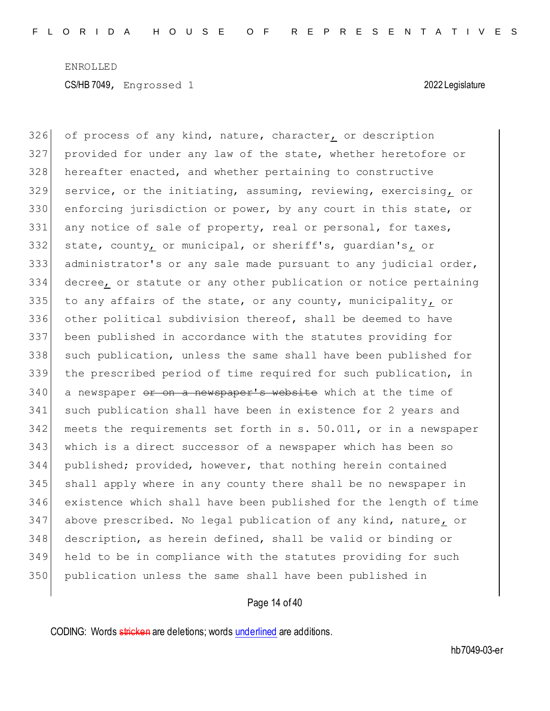326 of process of any kind, nature, character, or description provided for under any law of the state, whether heretofore or 328 hereafter enacted, and whether pertaining to constructive service, or the initiating, assuming, reviewing, exercising, or enforcing jurisdiction or power, by any court in this state, or 331 any notice of sale of property, real or personal, for taxes, state, county, or municipal, or sheriff's, guardian's, or administrator's or any sale made pursuant to any judicial order, decree, or statute or any other publication or notice pertaining to any affairs of the state, or any county, municipality, or other political subdivision thereof, shall be deemed to have been published in accordance with the statutes providing for 338 such publication, unless the same shall have been published for the prescribed period of time required for such publication, in 340 a newspaper or on a newspaper's website which at the time of such publication shall have been in existence for 2 years and meets the requirements set forth in s. 50.011, or in a newspaper which is a direct successor of a newspaper which has been so published; provided, however, that nothing herein contained shall apply where in any county there shall be no newspaper in existence which shall have been published for the length of time above prescribed. No legal publication of any kind, nature, or description, as herein defined, shall be valid or binding or held to be in compliance with the statutes providing for such publication unless the same shall have been published in

### Page 14 of 40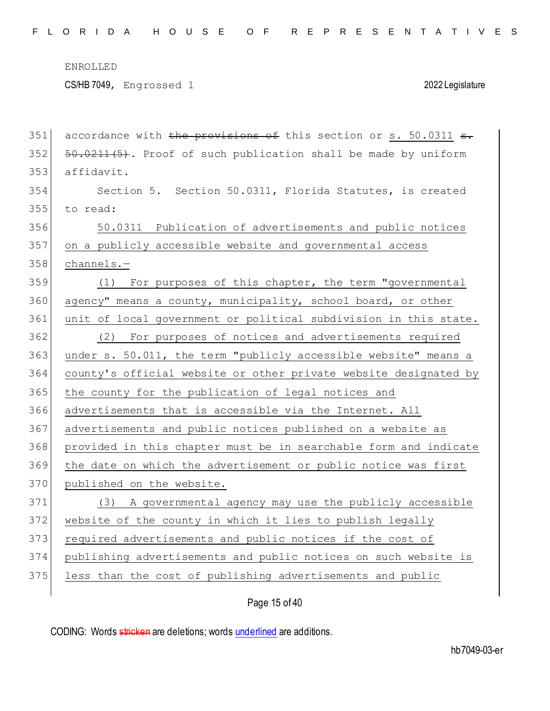351 accordance with the provisions of this section or  $s. 50.0311$  s.

ENROLLED CS/HB 7049, Engrossed 1 2022 Legislature

| 352 | 50.0211(5). Proof of such publication shall be made by uniform   |
|-----|------------------------------------------------------------------|
| 353 | affidavit.                                                       |
| 354 | Section 5. Section 50.0311, Florida Statutes, is created         |
| 355 | to read:                                                         |
| 356 | 50.0311 Publication of advertisements and public notices         |
| 357 | on a publicly accessible website and governmental access         |
| 358 | $channels. -$                                                    |
| 359 | For purposes of this chapter, the term "governmental<br>(1)      |
| 360 | agency" means a county, municipality, school board, or other     |
| 361 | unit of local government or political subdivision in this state. |
| 362 | (2) For purposes of notices and advertisements required          |
| 363 | under s. 50.011, the term "publicly accessible website" means a  |
| 364 | county's official website or other private website designated by |
| 365 | the county for the publication of legal notices and              |
| 366 | advertisements that is accessible via the Internet. All          |
| 367 | advertisements and public notices published on a website as      |
| 368 | provided in this chapter must be in searchable form and indicate |
| 369 | the date on which the advertisement or public notice was first   |
| 370 | published on the website.                                        |
| 371 | (3) A governmental agency may use the publicly accessible        |
| 372 | website of the county in which it lies to publish legally        |
| 373 | required advertisements and public notices if the cost of        |
| 374 | publishing advertisements and public notices on such website is  |
| 375 | less than the cost of publishing advertisements and public       |
|     |                                                                  |

Page 15 of 40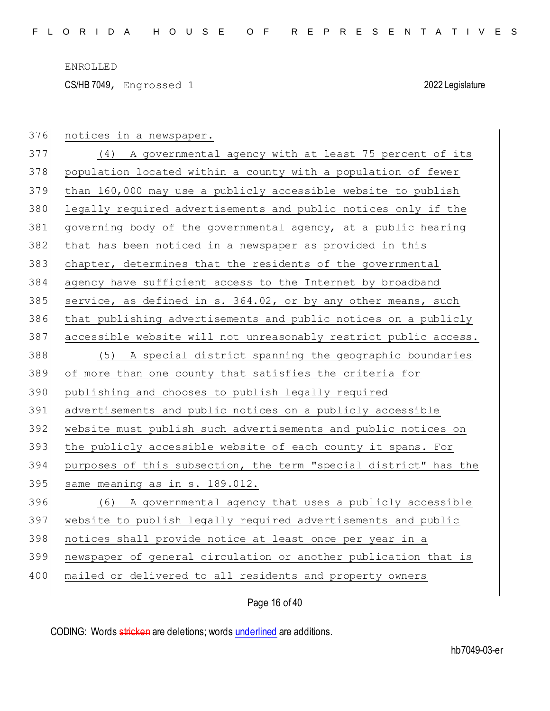CS/HB 7049, Engrossed 1 2022 Legislature

| 376 | notices in a newspaper.                                          |
|-----|------------------------------------------------------------------|
| 377 | (4) A governmental agency with at least 75 percent of its        |
| 378 | population located within a county with a population of fewer    |
| 379 | than 160,000 may use a publicly accessible website to publish    |
| 380 | legally required advertisements and public notices only if the   |
| 381 | governing body of the governmental agency, at a public hearing   |
| 382 | that has been noticed in a newspaper as provided in this         |
| 383 | chapter, determines that the residents of the governmental       |
| 384 | agency have sufficient access to the Internet by broadband       |
| 385 | service, as defined in s. 364.02, or by any other means, such    |
| 386 | that publishing advertisements and public notices on a publicly  |
| 387 | accessible website will not unreasonably restrict public access. |
| 388 | (5) A special district spanning the geographic boundaries        |
| 389 | of more than one county that satisfies the criteria for          |
|     |                                                                  |
| 390 | publishing and chooses to publish legally required               |
| 391 | advertisements and public notices on a publicly accessible       |
| 392 | website must publish such advertisements and public notices on   |
| 393 | the publicly accessible website of each county it spans. For     |
| 394 | purposes of this subsection, the term "special district" has the |
| 395 | same meaning as in s. 189.012.                                   |
| 396 | (6) A governmental agency that uses a publicly accessible        |
| 397 | website to publish legally required advertisements and public    |
| 398 | notices shall provide notice at least once per year in a         |
| 399 | newspaper of general circulation or another publication that is  |
| 400 | mailed or delivered to all residents and property owners         |

Page 16 of 40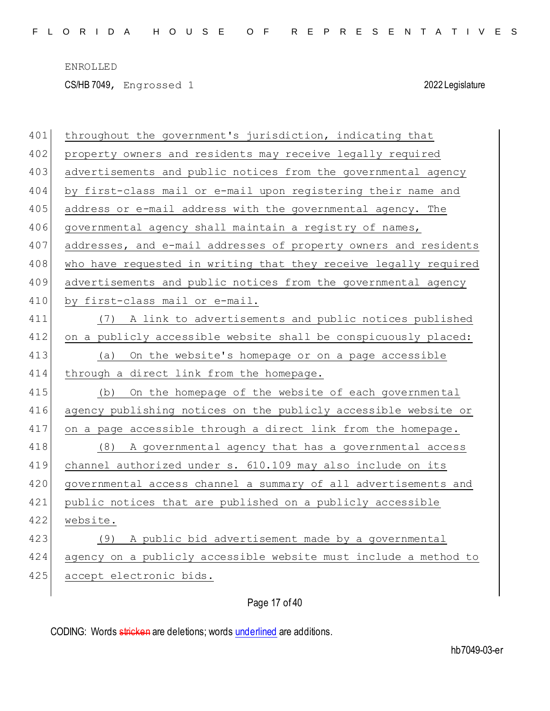CS/HB 7049, Engrossed 1 2022 Legislature

| 401 | throughout the government's jurisdiction, indicating that        |
|-----|------------------------------------------------------------------|
| 402 | property owners and residents may receive legally required       |
| 403 | advertisements and public notices from the governmental agency   |
| 404 | by first-class mail or e-mail upon registering their name and    |
| 405 | address or e-mail address with the governmental agency. The      |
| 406 | governmental agency shall maintain a registry of names,          |
| 407 | addresses, and e-mail addresses of property owners and residents |
| 408 | who have requested in writing that they receive legally required |
| 409 | advertisements and public notices from the governmental agency   |
| 410 | by first-class mail or e-mail.                                   |
| 411 | (7) A link to advertisements and public notices published        |
| 412 | on a publicly accessible website shall be conspicuously placed:  |
| 413 | On the website's homepage or on a page accessible<br>(a)         |
| 414 | through a direct link from the homepage.                         |
| 415 | On the homepage of the website of each governmental<br>(b)       |
| 416 | agency publishing notices on the publicly accessible website or  |
| 417 | on a page accessible through a direct link from the homepage.    |
| 418 | (8) A governmental agency that has a governmental access         |
| 419 | channel authorized under s. 610.109 may also include on its      |
| 420 | governmental access channel a summary of all advertisements and  |
| 421 | public notices that are published on a publicly accessible       |
| 422 | website.                                                         |
| 423 | A public bid advertisement made by a governmental<br>(9)         |
| 424 | agency on a publicly accessible website must include a method to |
| 425 | accept electronic bids.                                          |
|     |                                                                  |

Page 17 of 40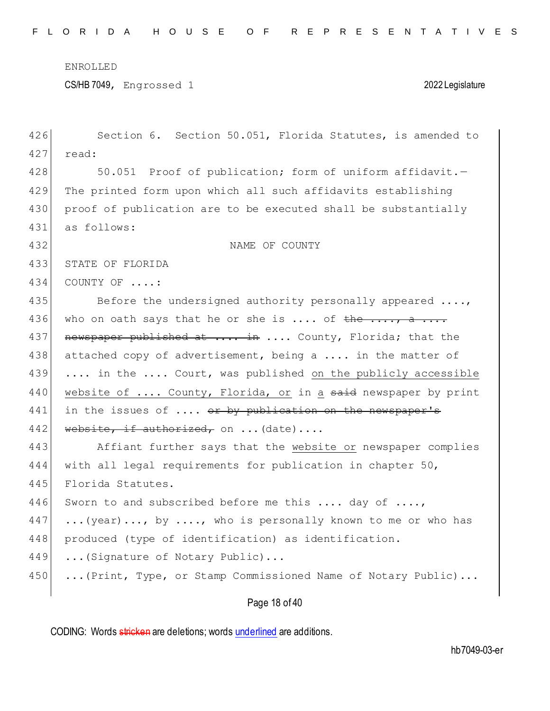CS/HB 7049, Engrossed 1 2022 Legislature

| 426 | Section 6. Section 50.051, Florida Statutes, is amended to      |
|-----|-----------------------------------------------------------------|
| 427 | read:                                                           |
| 428 | 50.051 Proof of publication; form of uniform affidavit.-        |
| 429 | The printed form upon which all such affidavits establishing    |
| 430 | proof of publication are to be executed shall be substantially  |
| 431 | as follows:                                                     |
| 432 | NAME OF COUNTY                                                  |
| 433 | STATE OF FLORIDA                                                |
| 434 | COUNTY OF :                                                     |
| 435 | Before the undersigned authority personally appeared $\ldots$ , |
| 436 | who on oath says that he or she is  of the , a                  |
| 437 | newspaper published at  in  County, Florida; that the           |
| 438 | attached copy of advertisement, being a  in the matter of       |
| 439 | in the  Court, was published on the publicly accessible         |
| 440 | website of  County, Florida, or in a said newspaper by print    |
| 441 | in the issues of  or by publication on the newspaper's          |
| 442 | website, if authorized, on  (date)                              |
| 443 | Affiant further says that the website or newspaper complies     |
| 444 | with all legal requirements for publication in chapter 50,      |
| 445 | Florida Statutes.                                               |
| 446 | Sworn to and subscribed before me this  day of ,                |
| 447 | (year), by , who is personally known to me or who has           |
| 448 | produced (type of identification) as identification.            |
| 449 | (Signature of Notary Public)                                    |
| 450 | (Print, Type, or Stamp Commissioned Name of Notary Public)      |
|     |                                                                 |

# Page 18 of 40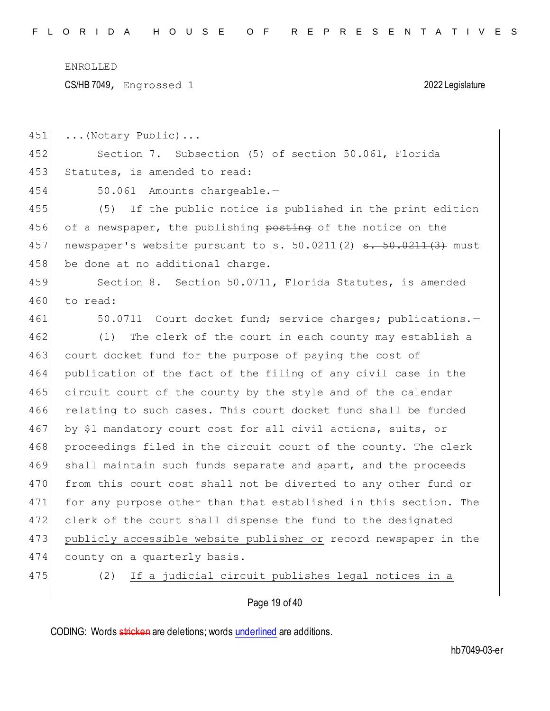CS/HB 7049, Engrossed 1 2022 Legislature

451 ... (Notary Public)... 452 Section 7. Subsection (5) of section 50.061, Florida 453 Statutes, is amended to read: 454 50.061 Amounts chargeable.— 455 (5) If the public notice is published in the print edition 456 of a newspaper, the publishing posting of the notice on the 457 newspaper's website pursuant to s. 50.0211(2)  $s. 50.0211(3)$  must 458 be done at no additional charge. 459 Section 8. Section 50.0711, Florida Statutes, is amended 460 to read: 461 50.0711 Court docket fund; service charges; publications.-462 (1) The clerk of the court in each county may establish a 463 court docket fund for the purpose of paying the cost of 464 publication of the fact of the filing of any civil case in the 465 circuit court of the county by the style and of the calendar 466 relating to such cases. This court docket fund shall be funded 467 by \$1 mandatory court cost for all civil actions, suits, or 468 proceedings filed in the circuit court of the county. The clerk 469 shall maintain such funds separate and apart, and the proceeds 470 from this court cost shall not be diverted to any other fund or 471 for any purpose other than that established in this section. The 472 clerk of the court shall dispense the fund to the designated 473 publicly accessible website publisher or record newspaper in the 474 county on a quarterly basis. 475 (2) If a judicial circuit publishes legal notices in a

Page 19 of 40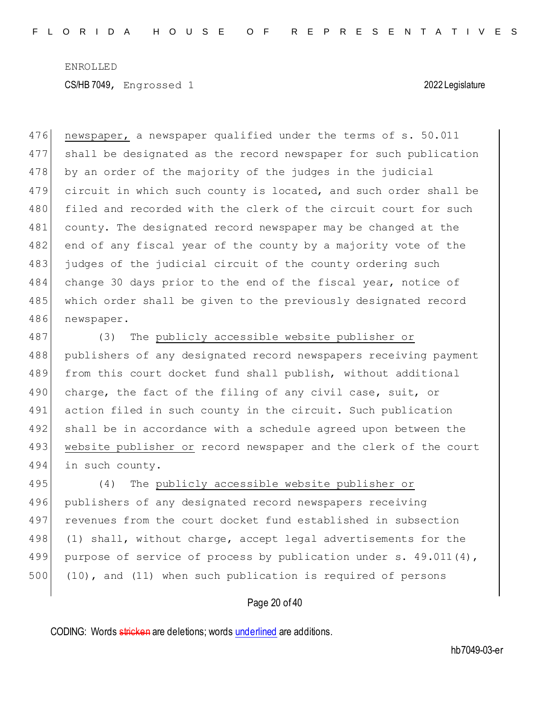476 newspaper, a newspaper qualified under the terms of s. 50.011 477 shall be designated as the record newspaper for such publication 478 by an order of the majority of the judges in the judicial 479 circuit in which such county is located, and such order shall be 480 filed and recorded with the clerk of the circuit court for such 481 county. The designated record newspaper may be changed at the 482 end of any fiscal year of the county by a majority vote of the 483 judges of the judicial circuit of the county ordering such 484 change 30 days prior to the end of the fiscal year, notice of 485 which order shall be given to the previously designated record 486 newspaper.

487 (3) The publicly accessible website publisher or 488 publishers of any designated record newspapers receiving payment 489 from this court docket fund shall publish, without additional 490 charge, the fact of the filing of any civil case, suit, or 491 action filed in such county in the circuit. Such publication 492 shall be in accordance with a schedule agreed upon between the 493 website publisher or record newspaper and the clerk of the court 494 in such county.

 (4) The publicly accessible website publisher or publishers of any designated record newspapers receiving revenues from the court docket fund established in subsection 498 (1) shall, without charge, accept legal advertisements for the 499 purpose of service of process by publication under s. 49.011(4), (10), and (11) when such publication is required of persons

### Page 20 of 40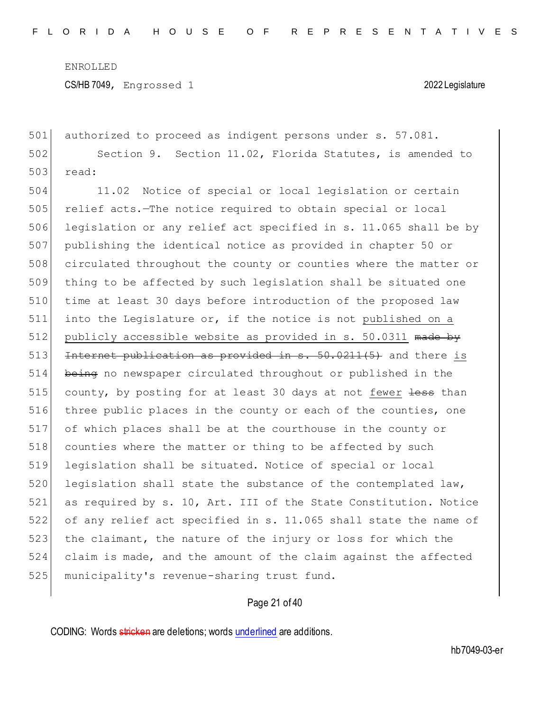CS/HB 7049, Engrossed 1 2022 Legislature

501 authorized to proceed as indigent persons under s. 57.081. 502 Section 9. Section 11.02, Florida Statutes, is amended to 503 read:

504 11.02 Notice of special or local legislation or certain 505 relief acts.—The notice required to obtain special or local 506 legislation or any relief act specified in s. 11.065 shall be by 507 publishing the identical notice as provided in chapter 50 or 508 circulated throughout the county or counties where the matter or 509 thing to be affected by such legislation shall be situated one 510 time at least 30 days before introduction of the proposed law 511 into the Legislature or, if the notice is not published on a 512 publicly accessible website as provided in s. 50.0311 made by 513 Internet publication as provided in s. 50.0211(5) and there is 514 being no newspaper circulated throughout or published in the 515 county, by posting for at least 30 days at not fewer less than 516 three public places in the county or each of the counties, one 517 of which places shall be at the courthouse in the county or 518 counties where the matter or thing to be affected by such 519 legislation shall be situated. Notice of special or local 520 legislation shall state the substance of the contemplated law, 521 as required by s. 10, Art. III of the State Constitution. Notice 522 of any relief act specified in s. 11.065 shall state the name of 523 the claimant, the nature of the injury or loss for which the 524 claim is made, and the amount of the claim against the affected 525 municipality's revenue-sharing trust fund.

# Page 21 of 40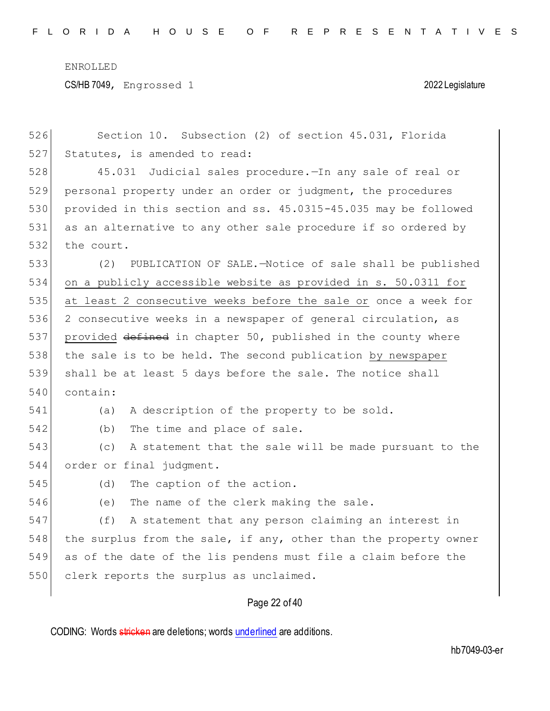CS/HB 7049, Engrossed 1 2022 Legislature

| 526 | Section 10. Subsection (2) of section 45.031, Florida            |
|-----|------------------------------------------------------------------|
| 527 | Statutes, is amended to read:                                    |
| 528 | Judicial sales procedure. - In any sale of real or<br>45.031     |
| 529 | personal property under an order or judgment, the procedures     |
| 530 | provided in this section and ss. 45.0315-45.035 may be followed  |
| 531 | as an alternative to any other sale procedure if so ordered by   |
| 532 | the court.                                                       |
| 533 | (2)<br>PUBLICATION OF SALE.-Notice of sale shall be published    |
| 534 | on a publicly accessible website as provided in s. 50.0311 for   |
| 535 | at least 2 consecutive weeks before the sale or once a week for  |
| 536 | 2 consecutive weeks in a newspaper of general circulation, as    |
| 537 | provided defined in chapter 50, published in the county where    |
| 538 | the sale is to be held. The second publication by newspaper      |
| 539 | shall be at least 5 days before the sale. The notice shall       |
| 540 | contain:                                                         |
| 541 | A description of the property to be sold.<br>(a)                 |
| 542 | The time and place of sale.<br>(b)                               |
| 543 | (C)<br>A statement that the sale will be made pursuant to the    |
| 544 | order or final judgment.                                         |
| 545 | The caption of the action.<br>(d)                                |
| 546 | The name of the clerk making the sale.<br>(e)                    |
| 547 | A statement that any person claiming an interest in<br>(f)       |
| 548 | the surplus from the sale, if any, other than the property owner |
| 549 | as of the date of the lis pendens must file a claim before the   |
| 550 | clerk reports the surplus as unclaimed.                          |
|     | Page 22 of 40                                                    |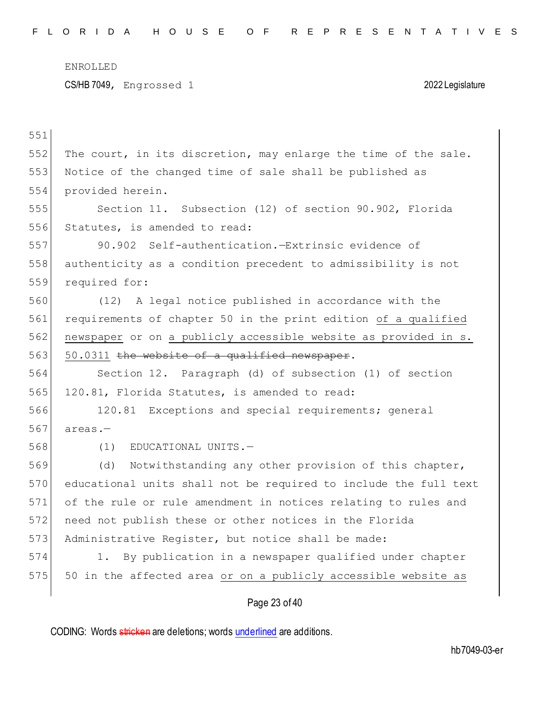| 551 |                                                                  |
|-----|------------------------------------------------------------------|
| 552 | The court, in its discretion, may enlarge the time of the sale.  |
| 553 | Notice of the changed time of sale shall be published as         |
| 554 | provided herein.                                                 |
| 555 | Section 11. Subsection (12) of section 90.902, Florida           |
| 556 | Statutes, is amended to read:                                    |
| 557 | 90.902 Self-authentication.-Extrinsic evidence of                |
| 558 | authenticity as a condition precedent to admissibility is not    |
| 559 | required for:                                                    |
| 560 | (12) A legal notice published in accordance with the             |
| 561 | requirements of chapter 50 in the print edition of a qualified   |
| 562 | newspaper or on a publicly accessible website as provided in s.  |
| 563 | 50.0311 the website of a qualified newspaper.                    |
| 564 | Section 12. Paragraph (d) of subsection (1) of section           |
| 565 | 120.81, Florida Statutes, is amended to read:                    |
| 566 | 120.81 Exceptions and special requirements; general              |
| 567 | $area. -$                                                        |
| 568 | EDUCATIONAL UNITS.-<br>(1)                                       |
| 569 | Notwithstanding any other provision of this chapter,<br>(d)      |
| 570 | educational units shall not be required to include the full text |
| 571 | of the rule or rule amendment in notices relating to rules and   |
| 572 | need not publish these or other notices in the Florida           |
| 573 | Administrative Register, but notice shall be made:               |
| 574 | By publication in a newspaper qualified under chapter<br>$1$ .   |
| 575 | 50 in the affected area or on a publicly accessible website as   |
|     | Page 23 of 40                                                    |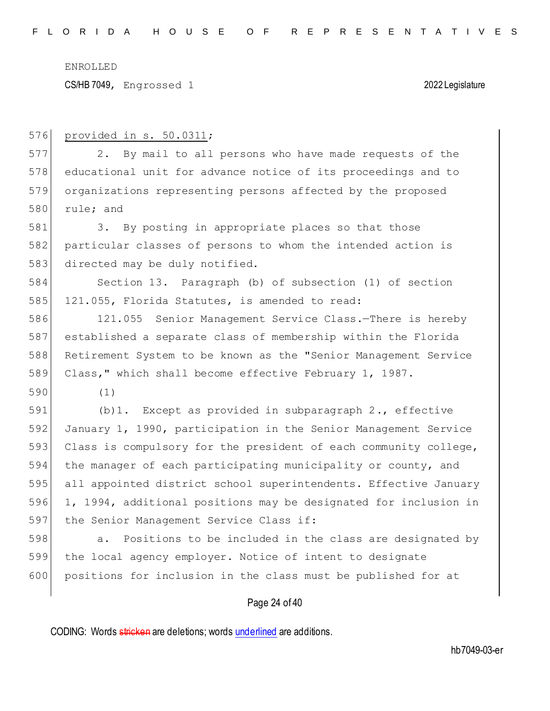CS/HB 7049, Engrossed 1 2022 Legislature

| 576 | provided in s. 50.0311;                                          |
|-----|------------------------------------------------------------------|
| 577 | By mail to all persons who have made requests of the<br>2.       |
| 578 | educational unit for advance notice of its proceedings and to    |
| 579 | organizations representing persons affected by the proposed      |
| 580 | rule; and                                                        |
| 581 | 3. By posting in appropriate places so that those                |
| 582 | particular classes of persons to whom the intended action is     |
| 583 | directed may be duly notified.                                   |
| 584 | Section 13. Paragraph (b) of subsection (1) of section           |
| 585 | 121.055, Florida Statutes, is amended to read:                   |
| 586 | Senior Management Service Class.-There is hereby<br>121.055      |
| 587 | established a separate class of membership within the Florida    |
| 588 | Retirement System to be known as the "Senior Management Service  |
| 589 | Class," which shall become effective February 1, 1987.           |
| 590 | (1)                                                              |
| 591 | $(b)$ 1. Except as provided in subparagraph 2., effective        |
| 592 | January 1, 1990, participation in the Senior Management Service  |
| 593 | Class is compulsory for the president of each community college, |
| 594 | the manager of each participating municipality or county, and    |
| 595 | all appointed district school superintendents. Effective January |
| 596 | 1, 1994, additional positions may be designated for inclusion in |
| 597 | the Senior Management Service Class if:                          |
| 598 | Positions to be included in the class are designated by<br>a.    |
| 599 | the local agency employer. Notice of intent to designate         |
| 600 | positions for inclusion in the class must be published for at    |
|     | Page 24 of 40                                                    |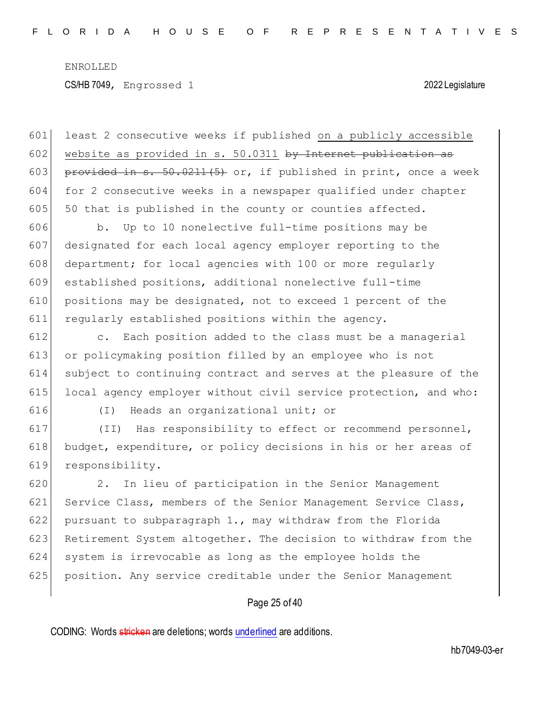601 least 2 consecutive weeks if published on a publicly accessible 602 website as provided in s.  $50.0311$  by Internet publication as 603 provided in s. 50.0211(5) or, if published in print, once a week 604 for 2 consecutive weeks in a newspaper qualified under chapter  $605$  50 that is published in the county or counties affected.

 b. Up to 10 nonelective full-time positions may be designated for each local agency employer reporting to the 608 department; for local agencies with 100 or more regularly established positions, additional nonelective full-time 610 positions may be designated, not to exceed 1 percent of the regularly established positions within the agency.

 c. Each position added to the class must be a managerial or policymaking position filled by an employee who is not subject to continuing contract and serves at the pleasure of the 615 local agency employer without civil service protection, and who:

616 (I) Heads an organizational unit; or

617 (II) Has responsibility to effect or recommend personnel, 618 budget, expenditure, or policy decisions in his or her areas of 619 responsibility.

620 2. In lieu of participation in the Senior Management 621 Service Class, members of the Senior Management Service Class, 622 pursuant to subparagraph 1., may withdraw from the Florida 623 Retirement System altogether. The decision to withdraw from the 624 system is irrevocable as long as the employee holds the 625 position. Any service creditable under the Senior Management

# Page 25 of 40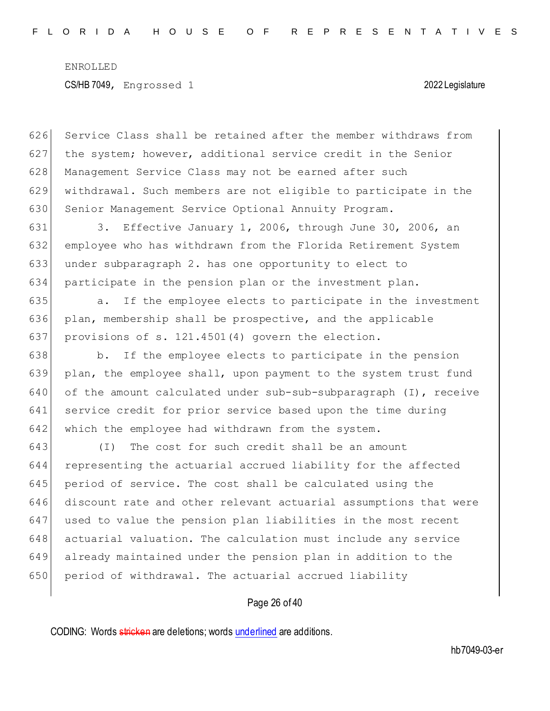626 Service Class shall be retained after the member withdraws from 627 the system; however, additional service credit in the Senior 628 Management Service Class may not be earned after such 629 withdrawal. Such members are not eligible to participate in the 630 Senior Management Service Optional Annuity Program.

631 3. Effective January 1, 2006, through June 30, 2006, an employee who has withdrawn from the Florida Retirement System under subparagraph 2. has one opportunity to elect to participate in the pension plan or the investment plan.

635 a. If the employee elects to participate in the investment 636 plan, membership shall be prospective, and the applicable 637 provisions of s. 121.4501(4) govern the election.

638 b. If the employee elects to participate in the pension 639 plan, the employee shall, upon payment to the system trust fund 640 of the amount calculated under sub-sub-subparagraph (I), receive 641 service credit for prior service based upon the time during 642 which the employee had withdrawn from the system.

 (I) The cost for such credit shall be an amount representing the actuarial accrued liability for the affected 645 period of service. The cost shall be calculated using the discount rate and other relevant actuarial assumptions that were used to value the pension plan liabilities in the most recent actuarial valuation. The calculation must include any service already maintained under the pension plan in addition to the 650 period of withdrawal. The actuarial accrued liability

### Page 26 of 40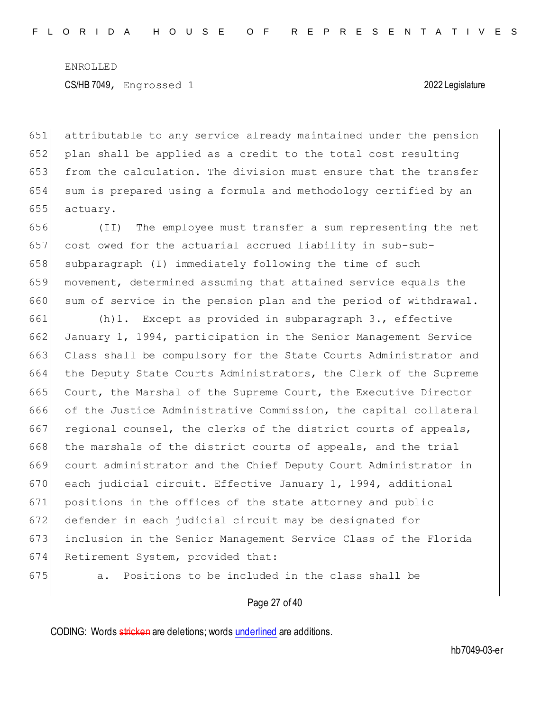attributable to any service already maintained under the pension plan shall be applied as a credit to the total cost resulting from the calculation. The division must ensure that the transfer sum is prepared using a formula and methodology certified by an 655 actuary.

656 (II) The employee must transfer a sum representing the net 657 cost owed for the actuarial accrued liability in sub-sub-658 subparagraph (I) immediately following the time of such 659 movement, determined assuming that attained service equals the 660 sum of service in the pension plan and the period of withdrawal.

661 (h)1. Except as provided in subparagraph 3., effective 662 January 1, 1994, participation in the Senior Management Service 663 Class shall be compulsory for the State Courts Administrator and 664 the Deputy State Courts Administrators, the Clerk of the Supreme 665 Court, the Marshal of the Supreme Court, the Executive Director 666 of the Justice Administrative Commission, the capital collateral 667 regional counsel, the clerks of the district courts of appeals, 668 the marshals of the district courts of appeals, and the trial 669 court administrator and the Chief Deputy Court Administrator in 670 each judicial circuit. Effective January 1, 1994, additional 671 positions in the offices of the state attorney and public 672 defender in each judicial circuit may be designated for 673 inclusion in the Senior Management Service Class of the Florida 674 Retirement System, provided that:

675 a. Positions to be included in the class shall be

### Page 27 of 40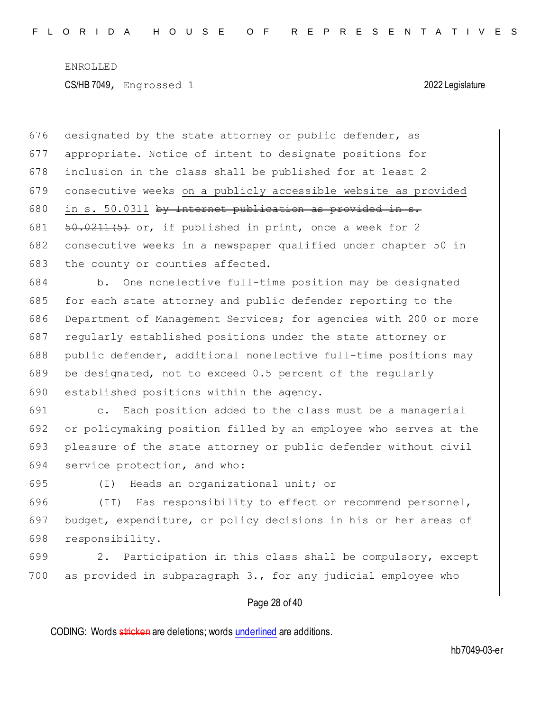designated by the state attorney or public defender, as appropriate. Notice of intent to designate positions for inclusion in the class shall be published for at least 2 consecutive weeks on a publicly accessible website as provided 680 in s. 50.0311 by Internet publication as provided in s.  $\left[50.0211(5) \right]$  or, if published in print, once a week for 2 consecutive weeks in a newspaper qualified under chapter 50 in 683 the county or counties affected.

684 b. One nonelective full-time position may be designated 685 for each state attorney and public defender reporting to the 686 Department of Management Services; for agencies with 200 or more 687 regularly established positions under the state attorney or 688 public defender, additional nonelective full-time positions may 689 be designated, not to exceed 0.5 percent of the regularly 690 established positions within the agency.

691 c. Each position added to the class must be a managerial 692 or policymaking position filled by an employee who serves at the 693 pleasure of the state attorney or public defender without civil 694 service protection, and who:

695 (I) Heads an organizational unit; or

696 (II) Has responsibility to effect or recommend personnel, 697 budget, expenditure, or policy decisions in his or her areas of 698 responsibility.

699 2. Participation in this class shall be compulsory, except 700 as provided in subparagraph 3., for any judicial employee who

### Page 28 of 40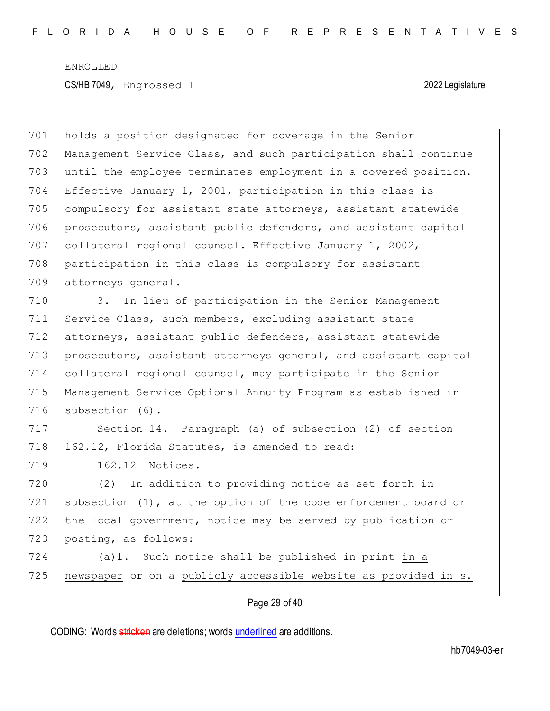Page 29 of 40 holds a position designated for coverage in the Senior Management Service Class, and such participation shall continue until the employee terminates employment in a covered position. Effective January 1, 2001, participation in this class is compulsory for assistant state attorneys, assistant statewide prosecutors, assistant public defenders, and assistant capital collateral regional counsel. Effective January 1, 2002, participation in this class is compulsory for assistant attorneys general. 3. In lieu of participation in the Senior Management 711 Service Class, such members, excluding assistant state attorneys, assistant public defenders, assistant statewide 713 prosecutors, assistant attorneys general, and assistant capital collateral regional counsel, may participate in the Senior Management Service Optional Annuity Program as established in 716 subsection (6). Section 14. Paragraph (a) of subsection (2) of section 718 162.12, Florida Statutes, is amended to read: 719 162.12 Notices.-720 (2) In addition to providing notice as set forth in subsection (1), at the option of the code enforcement board or the local government, notice may be served by publication or 723 posting, as follows: (a)1. Such notice shall be published in print in a 725 newspaper or on a publicly accessible website as provided in s.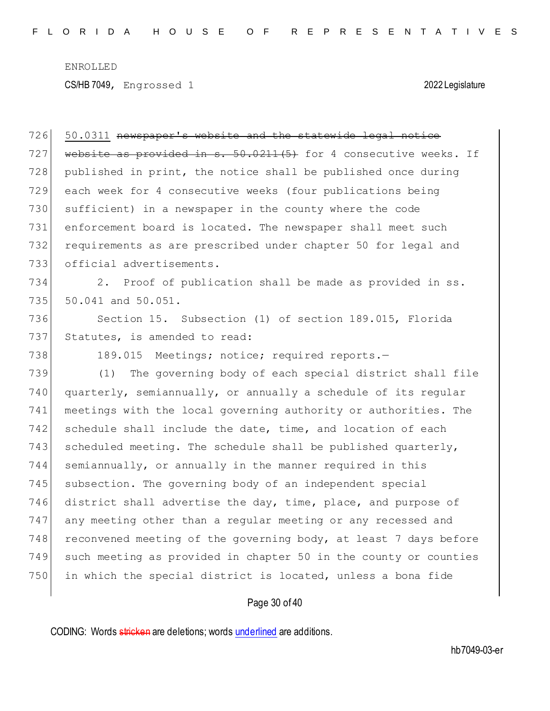CS/HB 7049, Engrossed 1 2022 Legislature

 50.0311 newspaper's website and the statewide legal notice 727 website as provided in s.  $50.0211(5)$  for 4 consecutive weeks. If 728 published in print, the notice shall be published once during each week for 4 consecutive weeks (four publications being sufficient) in a newspaper in the county where the code enforcement board is located. The newspaper shall meet such requirements as are prescribed under chapter 50 for legal and official advertisements. 2. Proof of publication shall be made as provided in ss. 50.041 and 50.051. Section 15. Subsection (1) of section 189.015, Florida 737 Statutes, is amended to read: 738 189.015 Meetings; notice; required reports.- (1) The governing body of each special district shall file quarterly, semiannually, or annually a schedule of its regular meetings with the local governing authority or authorities. The 742 schedule shall include the date, time, and location of each 743 scheduled meeting. The schedule shall be published quarterly, semiannually, or annually in the manner required in this 745 subsection. The governing body of an independent special 746 district shall advertise the day, time, place, and purpose of any meeting other than a regular meeting or any recessed and 748 reconvened meeting of the governing body, at least 7 days before such meeting as provided in chapter 50 in the county or counties in which the special district is located, unless a bona fide

# Page 30 of 40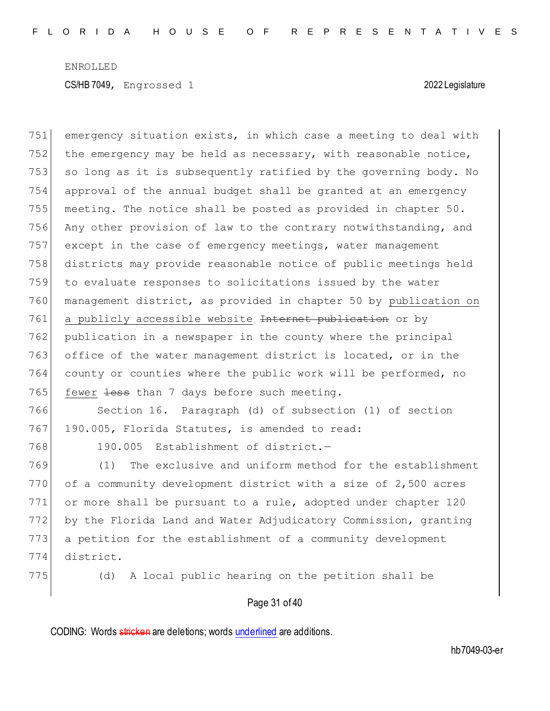emergency situation exists, in which case a meeting to deal with 752 the emergency may be held as necessary, with reasonable notice, 753 so long as it is subsequently ratified by the governing body. No approval of the annual budget shall be granted at an emergency meeting. The notice shall be posted as provided in chapter 50. Any other provision of law to the contrary notwithstanding, and except in the case of emergency meetings, water management districts may provide reasonable notice of public meetings held to evaluate responses to solicitations issued by the water management district, as provided in chapter 50 by publication on 761 a publicly accessible website Internet publication or by publication in a newspaper in the county where the principal office of the water management district is located, or in the county or counties where the public work will be performed, no 765 fewer  $\frac{1}{1}$  tess than 7 days before such meeting. Section 16. Paragraph (d) of subsection (1) of section 767 190.005, Florida Statutes, is amended to read: 768 190.005 Establishment of district.- (1) The exclusive and uniform method for the establishment 770 of a community development district with a size of 2,500 acres or more shall be pursuant to a rule, adopted under chapter 120 772 by the Florida Land and Water Adjudicatory Commission, granting a petition for the establishment of a community development district.

775 (d) A local public hearing on the petition shall be

### Page 31 of 40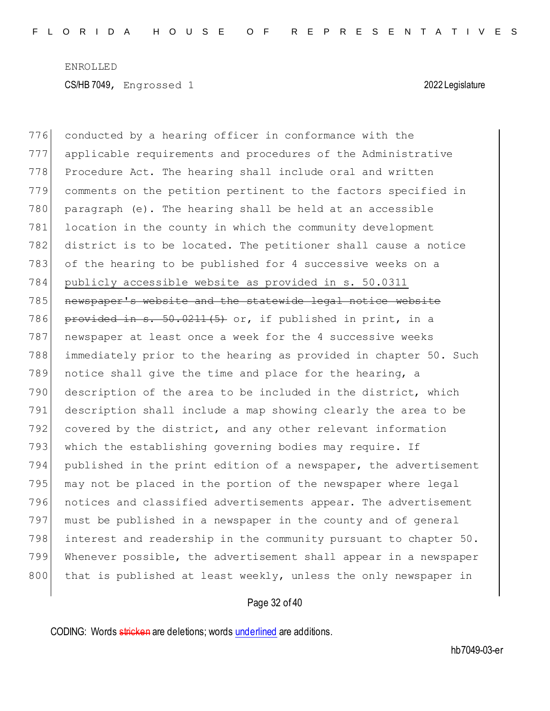776 conducted by a hearing officer in conformance with the 777 applicable requirements and procedures of the Administrative 778 Procedure Act. The hearing shall include oral and written 779 comments on the petition pertinent to the factors specified in 780 paragraph (e). The hearing shall be held at an accessible 781 location in the county in which the community development 782 district is to be located. The petitioner shall cause a notice 783 of the hearing to be published for 4 successive weeks on a 784 publicly accessible website as provided in s. 50.0311 785 newspaper's website and the statewide legal notice website 786 provided in s. 50.0211(5) or, if published in print, in a 787 newspaper at least once a week for the 4 successive weeks 788 immediately prior to the hearing as provided in chapter 50. Such 789 notice shall give the time and place for the hearing, a 790 description of the area to be included in the district, which 791 description shall include a map showing clearly the area to be 792 covered by the district, and any other relevant information 793 which the establishing governing bodies may require. If 794 published in the print edition of a newspaper, the advertisement 795 may not be placed in the portion of the newspaper where legal 796 notices and classified advertisements appear. The advertisement 797 must be published in a newspaper in the county and of general 798 interest and readership in the community pursuant to chapter 50. 799 Whenever possible, the advertisement shall appear in a newspaper 800 that is published at least weekly, unless the only newspaper in

### Page 32 of 40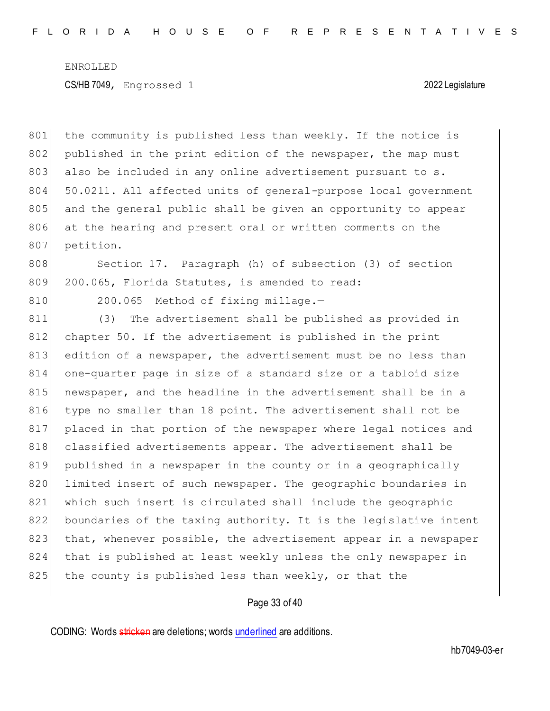801 the community is published less than weekly. If the notice is 802 published in the print edition of the newspaper, the map must 803 also be included in any online advertisement pursuant to s. 804 50.0211. All affected units of general-purpose local government 805 and the general public shall be given an opportunity to appear 806 at the hearing and present oral or written comments on the 807 petition.

808 Section 17. Paragraph (h) of subsection (3) of section 809 200.065, Florida Statutes, is amended to read:

810 200.065 Method of fixing millage.-

811 (3) The advertisement shall be published as provided in 812 chapter 50. If the advertisement is published in the print 813 edition of a newspaper, the advertisement must be no less than 814 one-quarter page in size of a standard size or a tabloid size 815 newspaper, and the headline in the advertisement shall be in a 816 type no smaller than 18 point. The advertisement shall not be 817 placed in that portion of the newspaper where legal notices and 818 classified advertisements appear. The advertisement shall be 819 published in a newspaper in the county or in a geographically 820 limited insert of such newspaper. The geographic boundaries in 821 which such insert is circulated shall include the geographic 822 boundaries of the taxing authority. It is the legislative intent 823 that, whenever possible, the advertisement appear in a newspaper 824 that is published at least weekly unless the only newspaper in 825 the county is published less than weekly, or that the

### Page 33 of 40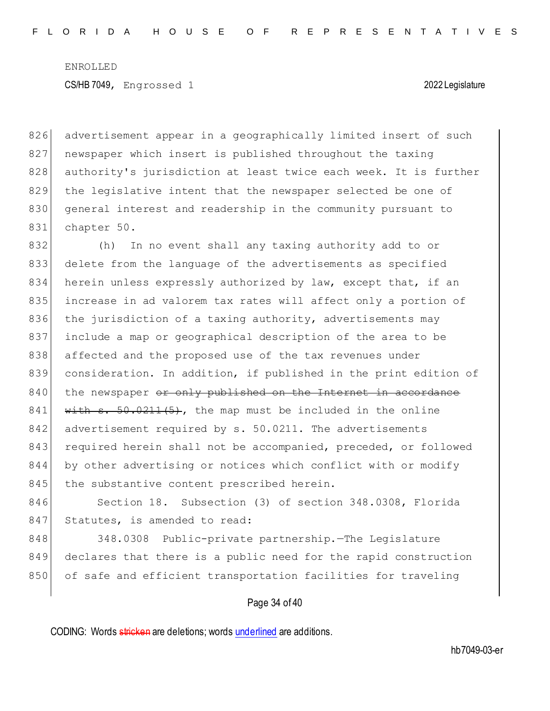826 advertisement appear in a geographically limited insert of such 827 newspaper which insert is published throughout the taxing 828 authority's jurisdiction at least twice each week. It is further 829 the legislative intent that the newspaper selected be one of 830 general interest and readership in the community pursuant to 831 chapter 50.

832 (h) In no event shall any taxing authority add to or 833 delete from the language of the advertisements as specified 834 herein unless expressly authorized by law, except that, if an 835 increase in ad valorem tax rates will affect only a portion of 836 the jurisdiction of a taxing authority, advertisements may 837 include a map or geographical description of the area to be 838 affected and the proposed use of the tax revenues under 839 consideration. In addition, if published in the print edition of 840 the newspaper or only published on the Internet in accordance 841  $|\text{with } s. 50.0211(5)$ , the map must be included in the online 842 advertisement required by s. 50.0211. The advertisements 843 required herein shall not be accompanied, preceded, or followed 844 by other advertising or notices which conflict with or modify 845 the substantive content prescribed herein.

846 Section 18. Subsection (3) of section 348.0308, Florida 847 Statutes, is amended to read:

848 348.0308 Public-private partnership. The Legislature 849 declares that there is a public need for the rapid construction 850 of safe and efficient transportation facilities for traveling

### Page 34 of 40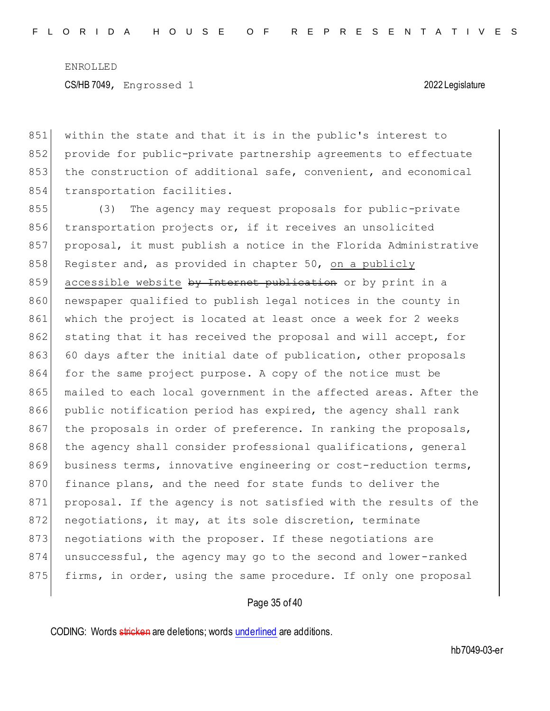851 within the state and that it is in the public's interest to 852 provide for public-private partnership agreements to effectuate 853 the construction of additional safe, convenient, and economical 854 transportation facilities.

855 (3) The agency may request proposals for public-private 856 transportation projects or, if it receives an unsolicited 857 proposal, it must publish a notice in the Florida Administrative 858 Register and, as provided in chapter 50, on a publicly 859 accessible website by Internet publication or by print in a 860 newspaper qualified to publish legal notices in the county in 861 which the project is located at least once a week for 2 weeks 862 stating that it has received the proposal and will accept, for 863 60 days after the initial date of publication, other proposals 864 for the same project purpose. A copy of the notice must be 865 mailed to each local government in the affected areas. After the 866 public notification period has expired, the agency shall rank 867 the proposals in order of preference. In ranking the proposals, 868 the agency shall consider professional qualifications, general 869 business terms, innovative engineering or cost-reduction terms, 870 finance plans, and the need for state funds to deliver the 871 proposal. If the agency is not satisfied with the results of the 872 negotiations, it may, at its sole discretion, terminate 873 negotiations with the proposer. If these negotiations are 874 unsuccessful, the agency may go to the second and lower-ranked 875 firms, in order, using the same procedure. If only one proposal

### Page 35 of 40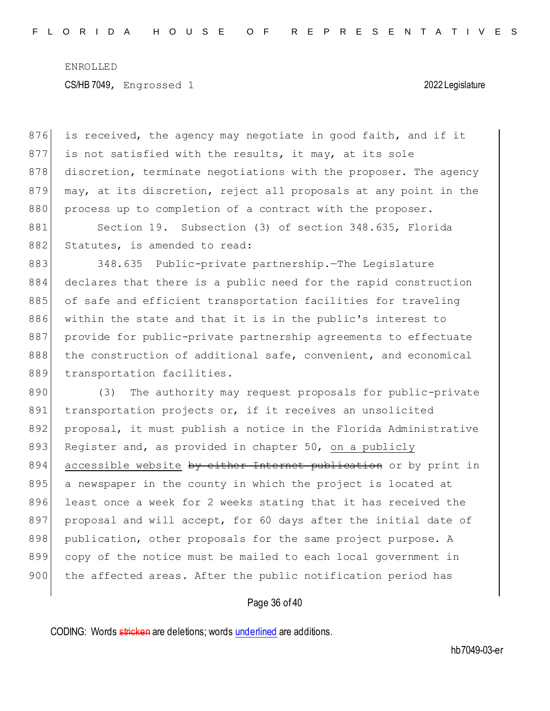$876$  is received, the agency may negotiate in good faith, and if it 877 is not satisfied with the results, it may, at its sole 878 discretion, terminate negotiations with the proposer. The agency 879 may, at its discretion, reject all proposals at any point in the 880 process up to completion of a contract with the proposer.

881 Section 19. Subsection (3) of section 348.635, Florida 882 Statutes, is amended to read:

883 348.635 Public-private partnership. The Legislature 884 declares that there is a public need for the rapid construction 885 of safe and efficient transportation facilities for traveling 886 within the state and that it is in the public's interest to 887 provide for public-private partnership agreements to effectuate 888 the construction of additional safe, convenient, and economical 889 transportation facilities.

890 (3) The authority may request proposals for public-private 891 transportation projects or, if it receives an unsolicited 892 proposal, it must publish a notice in the Florida Administrative 893 Register and, as provided in chapter 50, on a publicly 894 accessible website by either Internet publication or by print in 895 a newspaper in the county in which the project is located at 896 least once a week for 2 weeks stating that it has received the 897 proposal and will accept, for 60 days after the initial date of 898 publication, other proposals for the same project purpose. A 899 copy of the notice must be mailed to each local government in 900 the affected areas. After the public notification period has

### Page 36 of 40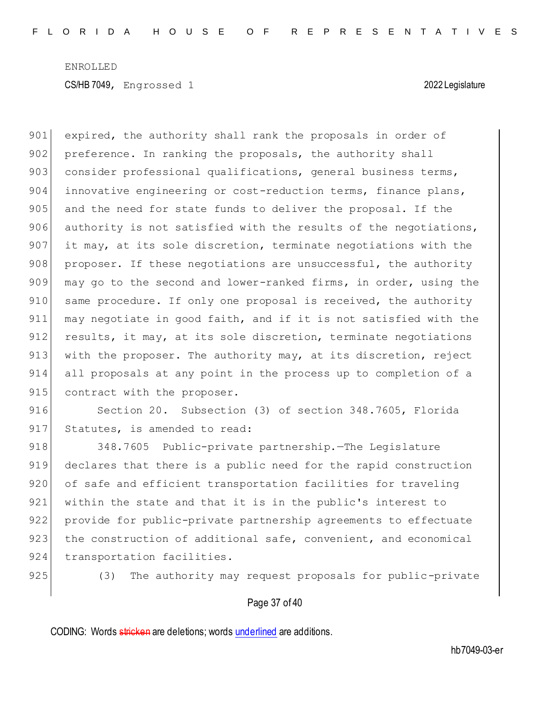901 expired, the authority shall rank the proposals in order of 902 preference. In ranking the proposals, the authority shall 903 consider professional qualifications, general business terms, 904 innovative engineering or cost-reduction terms, finance plans, 905 and the need for state funds to deliver the proposal. If the 906 authority is not satisfied with the results of the negotiations, 907 it may, at its sole discretion, terminate negotiations with the  $908$  proposer. If these negotiations are unsuccessful, the authority 909 may go to the second and lower-ranked firms, in order, using the 910 same procedure. If only one proposal is received, the authority 911 may negotiate in good faith, and if it is not satisfied with the 912 results, it may, at its sole discretion, terminate negotiations 913 with the proposer. The authority may, at its discretion, reject 914 all proposals at any point in the process up to completion of a 915 contract with the proposer.

916 Section 20. Subsection (3) of section 348.7605, Florida 917 Statutes, is amended to read:

918 348.7605 Public-private partnership. The Legislature 919 declares that there is a public need for the rapid construction 920 of safe and efficient transportation facilities for traveling 921 within the state and that it is in the public's interest to 922 provide for public-private partnership agreements to effectuate 923 the construction of additional safe, convenient, and economical 924 transportation facilities.

925 (3) The authority may request proposals for public-private

### Page 37 of 40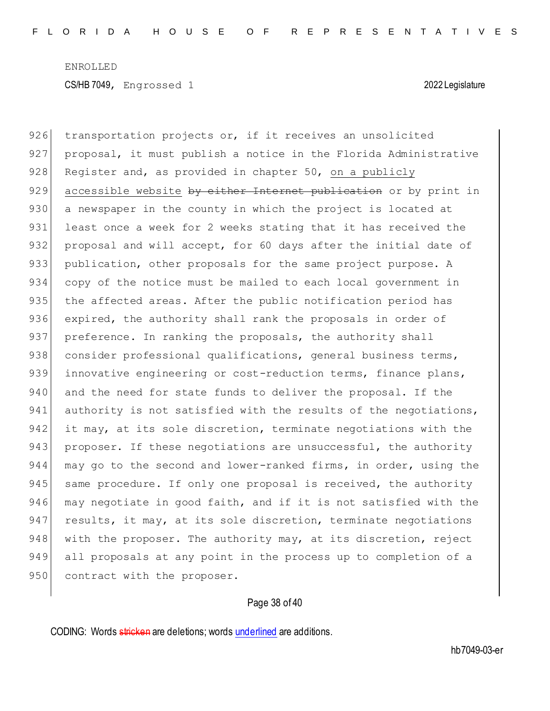926 transportation projects or, if it receives an unsolicited 927 proposal, it must publish a notice in the Florida Administrative 928 Register and, as provided in chapter 50, on a publicly 929 accessible website by either Internet publication or by print in 930 a newspaper in the county in which the project is located at 931 least once a week for 2 weeks stating that it has received the 932 proposal and will accept, for 60 days after the initial date of 933 publication, other proposals for the same project purpose. A 934 copy of the notice must be mailed to each local government in 935 the affected areas. After the public notification period has 936 expired, the authority shall rank the proposals in order of 937 preference. In ranking the proposals, the authority shall 938 consider professional qualifications, general business terms, 939 innovative engineering or cost-reduction terms, finance plans, 940 and the need for state funds to deliver the proposal. If the 941 authority is not satisfied with the results of the negotiations, 942 it may, at its sole discretion, terminate negotiations with the 943 proposer. If these negotiations are unsuccessful, the authority 944 may go to the second and lower-ranked firms, in order, using the 945 same procedure. If only one proposal is received, the authority 946 may negotiate in good faith, and if it is not satisfied with the 947 results, it may, at its sole discretion, terminate negotiations 948 with the proposer. The authority may, at its discretion, reject 949 all proposals at any point in the process up to completion of a 950 contract with the proposer.

### Page 38 of 40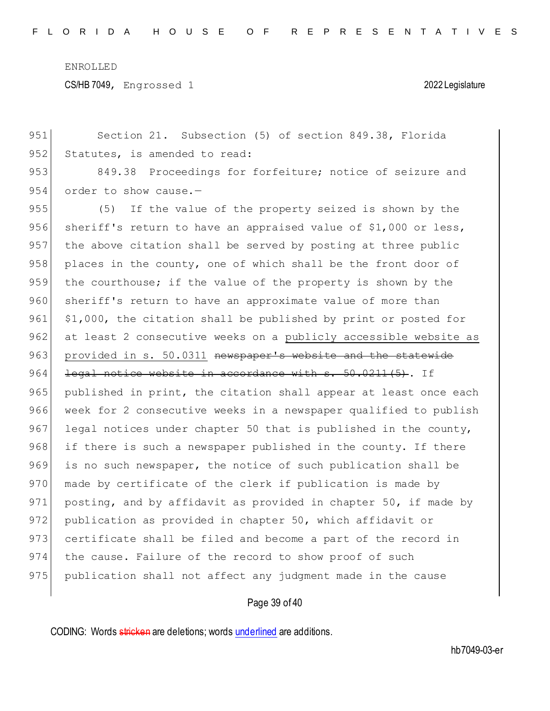CS/HB 7049, Engrossed 1 2022 Legislature

951 Section 21. Subsection (5) of section 849.38, Florida 952 Statutes, is amended to read: 953 849.38 Proceedings for forfeiture; notice of seizure and  $954$  order to show cause.-955 (5) If the value of the property seized is shown by the 956 sheriff's return to have an appraised value of \$1,000 or less, 957 the above citation shall be served by posting at three public 958 places in the county, one of which shall be the front door of 959 the courthouse; if the value of the property is shown by the 960 sheriff's return to have an approximate value of more than  $961$  \$1,000, the citation shall be published by print or posted for 962 at least 2 consecutive weeks on a publicly accessible website as 963 provided in s. 50.0311 newspaper's website and the statewide 964 legal notice website in accordance with s. 50.0211(5). If 965 published in print, the citation shall appear at least once each 966 week for 2 consecutive weeks in a newspaper qualified to publish 967 legal notices under chapter 50 that is published in the county, 968 if there is such a newspaper published in the county. If there 969 is no such newspaper, the notice of such publication shall be 970 made by certificate of the clerk if publication is made by 971 posting, and by affidavit as provided in chapter 50, if made by 972 publication as provided in chapter 50, which affidavit or 973 certificate shall be filed and become a part of the record in 974 the cause. Failure of the record to show proof of such 975 publication shall not affect any judgment made in the cause

Page 39 of 40